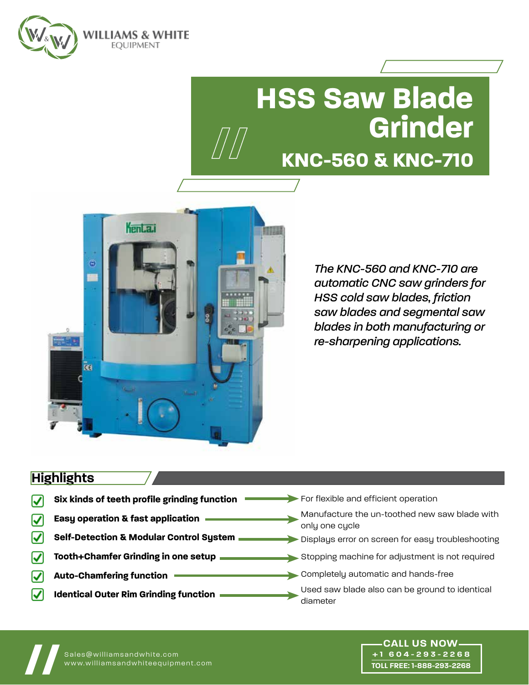

# **HSS Saw Blade Grinder // KNC-560 & KNC-710**



*The KNC-560 and KNC-710 are automatic CNC saw grinders for HSS cold saw blades, friction saw blades and segmental saw blades in both manufacturing or re-sharpening applications.* 

## **Highlights**

- **Six kinds of teeth profile grinding function** ☑
- **Easy operation & fast application** ☑
- **Self-Detection & Modular Control System** M
- **Tooth+Chamfer Grinding in one setup** ☑
- **Auto-Chamfering function** ✓
- V **Identical Outer Rim Grinding function**
- For flexible and efficient operation
	- Manufacture the un-toothed new saw blade with only one cycle
- Displays error on screen for easy troubleshooting
- Stopping machine for adjustment is not required
- Completely automatic and hands-free
	- Used saw blade also can be ground to identical diameter

**+1 604-293-2268 TOLL FREE: 1-888-293-2268**